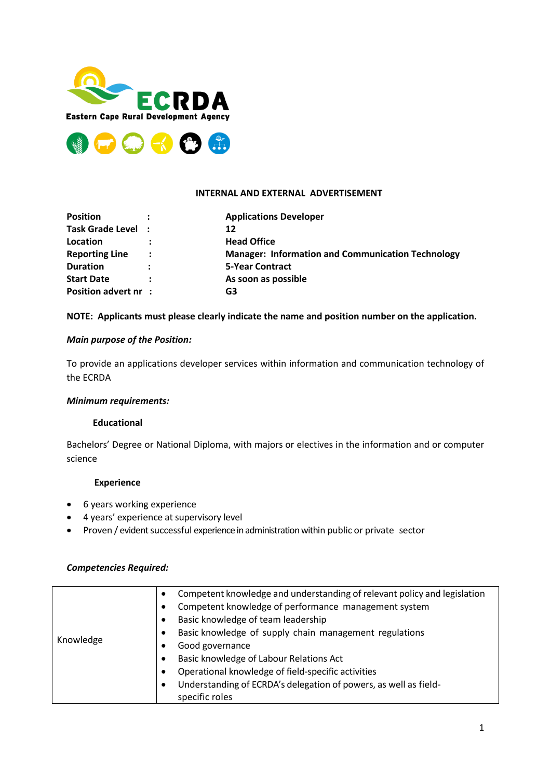



## **INTERNAL AND EXTERNAL ADVERTISEMENT**

| <b>Position</b>             |                      | <b>Applications Developer</b>                            |
|-----------------------------|----------------------|----------------------------------------------------------|
| Task Grade Level :          |                      | 12                                                       |
| Location                    |                      | <b>Head Office</b>                                       |
| <b>Reporting Line</b>       | $\ddot{\phantom{a}}$ | <b>Manager: Information and Communication Technology</b> |
| <b>Duration</b>             | $\ddot{\cdot}$       | <b>5-Year Contract</b>                                   |
| <b>Start Date</b>           |                      | As soon as possible                                      |
| <b>Position advert nr :</b> |                      | G3                                                       |

## **NOTE: Applicants must please clearly indicate the name and position number on the application.**

## *Main purpose of the Position:*

To provide an applications developer services within information and communication technology of the ECRDA

## *Minimum requirements:*

## **Educational**

Bachelors' Degree or National Diploma, with majors or electives in the information and or computer science

## **Experience**

- 6 years working experience
- 4 years' experience at supervisory level
- Proven / evident successful experience in administration within public or private sector

## *Competencies Required:*

|           | ٠         | Competent knowledge and understanding of relevant policy and legislation |
|-----------|-----------|--------------------------------------------------------------------------|
|           | ٠         | Competent knowledge of performance management system                     |
|           | $\bullet$ | Basic knowledge of team leadership                                       |
|           | ٠         | Basic knowledge of supply chain management regulations                   |
| Knowledge |           | Good governance                                                          |
|           | ٠         | Basic knowledge of Labour Relations Act                                  |
|           | ٠         | Operational knowledge of field-specific activities                       |
|           | $\bullet$ | Understanding of ECRDA's delegation of powers, as well as field-         |
|           |           | specific roles                                                           |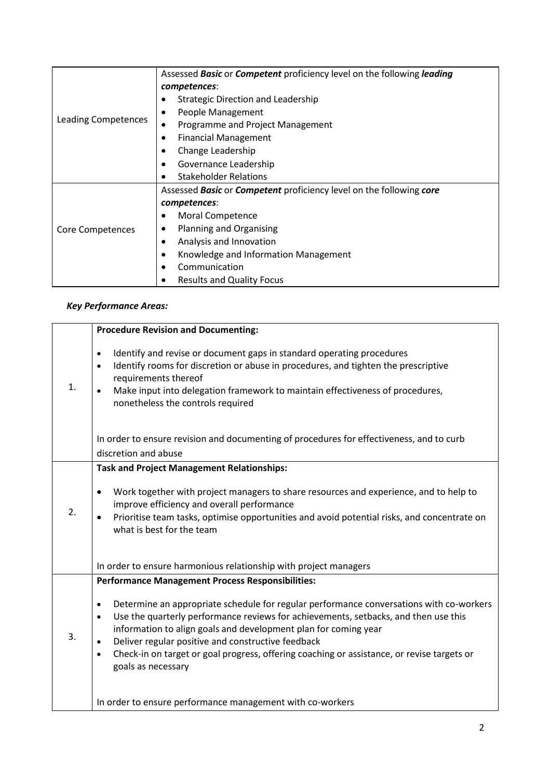|                     | Assessed Basic or Competent proficiency level on the following leading |  |  |
|---------------------|------------------------------------------------------------------------|--|--|
| Leading Competences | competences:                                                           |  |  |
|                     | Strategic Direction and Leadership                                     |  |  |
|                     | People Management                                                      |  |  |
|                     | Programme and Project Management                                       |  |  |
|                     | <b>Financial Management</b>                                            |  |  |
|                     | Change Leadership                                                      |  |  |
|                     | Governance Leadership                                                  |  |  |
|                     | <b>Stakeholder Relations</b>                                           |  |  |
|                     | Assessed Basic or Competent proficiency level on the following core    |  |  |
|                     | competences:                                                           |  |  |
|                     | Moral Competence                                                       |  |  |
| Core Competences    | <b>Planning and Organising</b>                                         |  |  |
|                     | Analysis and Innovation                                                |  |  |
|                     | Knowledge and Information Management                                   |  |  |
|                     | Communication                                                          |  |  |
|                     | <b>Results and Quality Focus</b>                                       |  |  |

# *Key Performance Areas:*

|                | <b>Procedure Revision and Documenting:</b>                                                                                                                                                                                                                                                                                                                                                                                                                                                                                    |
|----------------|-------------------------------------------------------------------------------------------------------------------------------------------------------------------------------------------------------------------------------------------------------------------------------------------------------------------------------------------------------------------------------------------------------------------------------------------------------------------------------------------------------------------------------|
| $\mathbf{1}$ . | Identify and revise or document gaps in standard operating procedures<br>$\bullet$<br>Identify rooms for discretion or abuse in procedures, and tighten the prescriptive<br>$\bullet$<br>requirements thereof<br>Make input into delegation framework to maintain effectiveness of procedures,<br>nonetheless the controls required                                                                                                                                                                                           |
|                | In order to ensure revision and documenting of procedures for effectiveness, and to curb<br>discretion and abuse                                                                                                                                                                                                                                                                                                                                                                                                              |
| 2.             | <b>Task and Project Management Relationships:</b><br>Work together with project managers to share resources and experience, and to help to<br>$\bullet$<br>improve efficiency and overall performance<br>Prioritise team tasks, optimise opportunities and avoid potential risks, and concentrate on<br>what is best for the team                                                                                                                                                                                             |
|                | In order to ensure harmonious relationship with project managers                                                                                                                                                                                                                                                                                                                                                                                                                                                              |
| 3.             | <b>Performance Management Process Responsibilities:</b><br>Determine an appropriate schedule for regular performance conversations with co-workers<br>$\bullet$<br>Use the quarterly performance reviews for achievements, setbacks, and then use this<br>$\bullet$<br>information to align goals and development plan for coming year<br>Deliver regular positive and constructive feedback<br>Check-in on target or goal progress, offering coaching or assistance, or revise targets or<br>$\bullet$<br>goals as necessary |
|                | In order to ensure performance management with co-workers                                                                                                                                                                                                                                                                                                                                                                                                                                                                     |